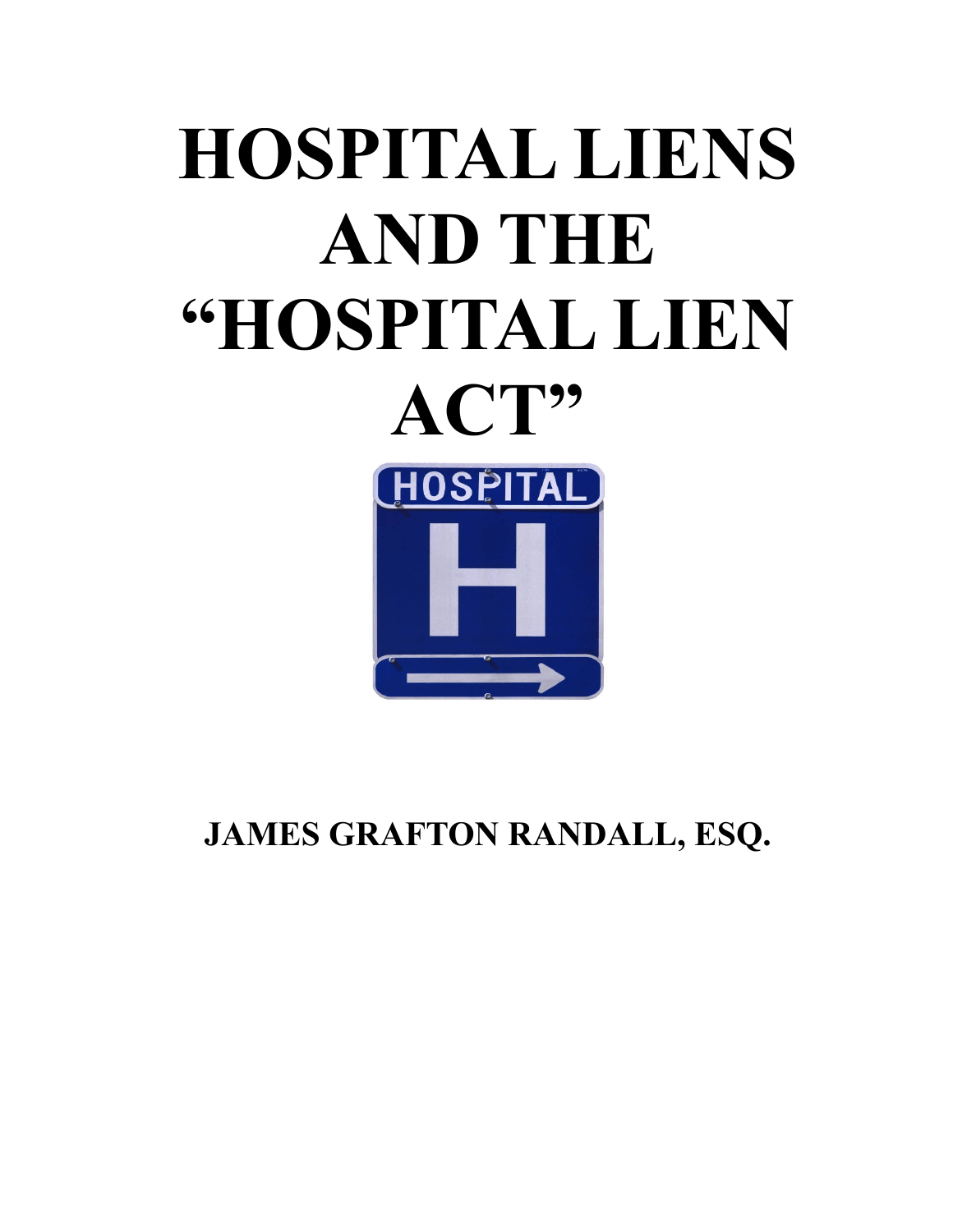# **HOSPITAL LIENS AND THE "HOSPITAL LIEN ACT"** HOSPITAL

**JAMES GRAFTON RANDALL, ESQ.**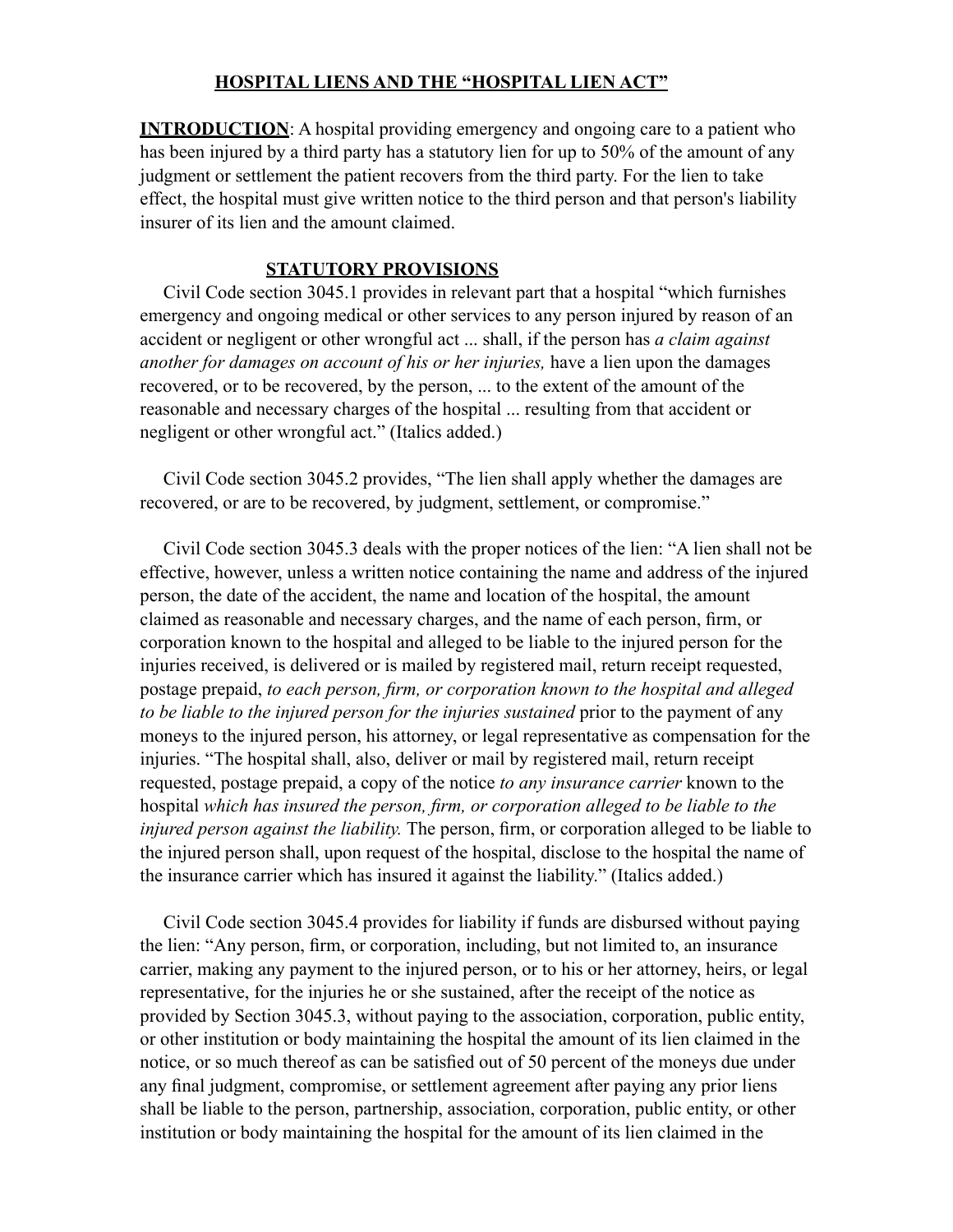#### **HOSPITAL LIENS AND THE "HOSPITAL LIEN ACT"**

**INTRODUCTION:** A hospital providing emergency and ongoing care to a patient who has been injured by a third party has a statutory lien for up to 50% of the amount of any judgment or settlement the patient recovers from the third party. For the lien to take effect, the hospital must give written notice to the third person and that person's liability insurer of its lien and the amount claimed.

#### **STATUTORY PROVISIONS**

Civil Code section 3045.1 provides in relevant part that a hospital "which furnishes emergency and ongoing medical or other services to any person injured by reason of an accident or negligent or other wrongful act ... shall, if the person has *a claim against another for damages on account of his or her injuries,* have a lien upon the damages recovered, or to be recovered, by the person, ... to the extent of the amount of the reasonable and necessary charges of the hospital ... resulting from that accident or negligent or other wrongful act." (Italics added.)

Civil Code section 3045.2 provides, "The lien shall apply whether the damages are recovered, or are to be recovered, by judgment, settlement, or compromise."

Civil Code section 3045.3 deals with the proper notices of the lien: "A lien shall not be effective, however, unless a written notice containing the name and address of the injured person, the date of the accident, the name and location of the hospital, the amount claimed as reasonable and necessary charges, and the name of each person, firm, or corporation known to the hospital and alleged to be liable to the injured person for the injuries received, is delivered or is mailed by registered mail, return receipt requested, postage prepaid, *to each person, firm, or corporation known to the hospital and alleged to be liable to the injured person for the injuries sustained* prior to the payment of any moneys to the injured person, his attorney, or legal representative as compensation for the injuries. "The hospital shall, also, deliver or mail by registered mail, return receipt requested, postage prepaid, a copy of the notice *to any insurance carrier* known to the hospital *which has insured the person, firm, or corporation alleged to be liable to the injured person against the liability.* The person, firm, or corporation alleged to be liable to the injured person shall, upon request of the hospital, disclose to the hospital the name of the insurance carrier which has insured it against the liability." (Italics added.)

Civil Code section 3045.4 provides for liability if funds are disbursed without paying the lien: "Any person, firm, or corporation, including, but not limited to, an insurance carrier, making any payment to the injured person, or to his or her attorney, heirs, or legal representative, for the injuries he or she sustained, after the receipt of the notice as provided by Section 3045.3, without paying to the association, corporation, public entity, or other institution or body maintaining the hospital the amount of its lien claimed in the notice, or so much thereof as can be satisfied out of 50 percent of the moneys due under any final judgment, compromise, or settlement agreement after paying any prior liens shall be liable to the person, partnership, association, corporation, public entity, or other institution or body maintaining the hospital for the amount of its lien claimed in the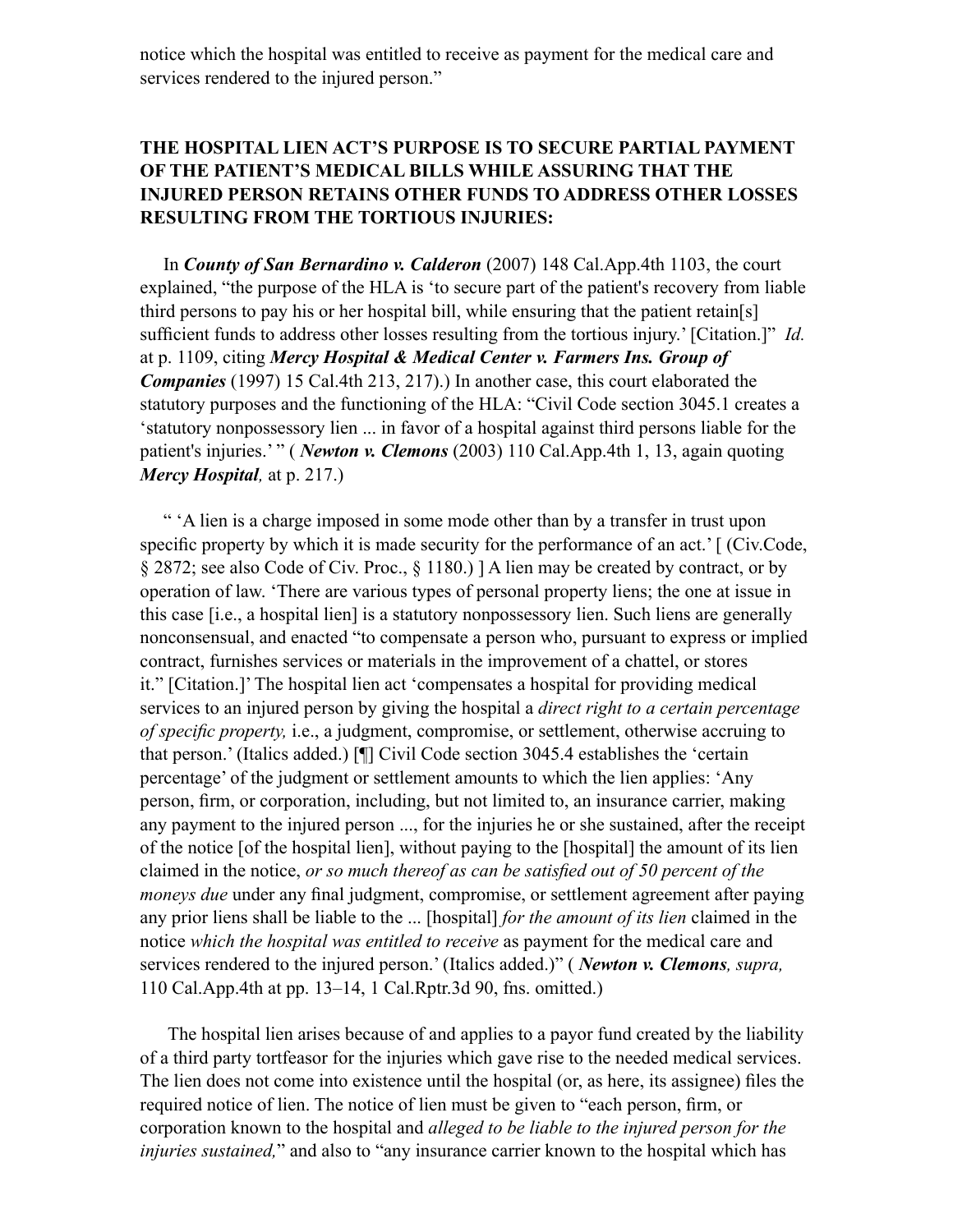notice which the hospital was entitled to receive as payment for the medical care and services rendered to the injured person."

# **THE HOSPITAL LIEN ACT'S PURPOSE IS TO SECURE PARTIAL PAYMENT OF THE PATIENT'S MEDICAL BILLS WHILE ASSURING THAT THE INJURED PERSON RETAINS OTHER FUNDS TO ADDRESS OTHER LOSSES RESULTING FROM THE TORTIOUS INJURIES:**

In *County of San Bernardino v. Calderon* (2007) 148 Cal.App.4th 1103, the court explained, "the purpose of the HLA is 'to secure part of the patient's recovery from liable third persons to pay his or her hospital bill, while ensuring that the patient retain[s] sufficient funds to address other losses resulting from the tortious injury.' [Citation.]" *Id.* at p. 1109, citing *Mercy Hospital & Medical Center v. Farmers Ins. Group of Companies* (1997) 15 Cal.4th 213, 217).) In another case, this court elaborated the statutory purposes and the functioning of the HLA: "Civil Code section 3045.1 creates a 'statutory nonpossessory lien ... in favor of a hospital against third persons liable for the patient's injuries.' " (*Newton v. Clemons* (2003) 110 Cal.App.4th 1, 13, again quoting *Mercy Hospital,* at p. 217.)

" 'A lien is a charge imposed in some mode other than by a transfer in trust upon specific property by which it is made security for the performance of an act.' [ (Civ.Code, § 2872; see also Code of Civ. Proc., § 1180.) ] A lien may be created by contract, or by operation of law. 'There are various types of personal property liens; the one at issue in this case [i.e., a hospital lien] is a statutory nonpossessory lien. Such liens are generally nonconsensual, and enacted "to compensate a person who, pursuant to express or implied contract, furnishes services or materials in the improvement of a chattel, or stores it." [Citation.]' The hospital lien act 'compensates a hospital for providing medical services to an injured person by giving the hospital a *direct right to a certain percentage of specific property,* i.e., a judgment, compromise, or settlement, otherwise accruing to that person.' (Italics added.) [¶] Civil Code section 3045.4 establishes the 'certain percentage' of the judgment or settlement amounts to which the lien applies: 'Any person, firm, or corporation, including, but not limited to, an insurance carrier, making any payment to the injured person ..., for the injuries he or she sustained, after the receipt of the notice [of the hospital lien], without paying to the [hospital] the amount of its lien claimed in the notice, *or so much thereof as can be satisfied out of 50 percent of the moneys due* under any final judgment, compromise, or settlement agreement after paying any prior liens shall be liable to the ... [hospital] *for the amount of its lien* claimed in the notice *which the hospital was entitled to receive* as payment for the medical care and services rendered to the injured person.' (Italics added.)" ( *Newton v. Clemons, supra,* 110 Cal.App.4th at pp. 13–14, 1 Cal.Rptr.3d 90, fns. omitted.)

The hospital lien arises because of and applies to a payor fund created by the liability of a third party tortfeasor for the injuries which gave rise to the needed medical services. The lien does not come into existence until the hospital (or, as here, its assignee) files the required notice of lien. The notice of lien must be given to "each person, firm, or corporation known to the hospital and *alleged to be liable to the injured person for the injuries sustained,*" and also to "any insurance carrier known to the hospital which has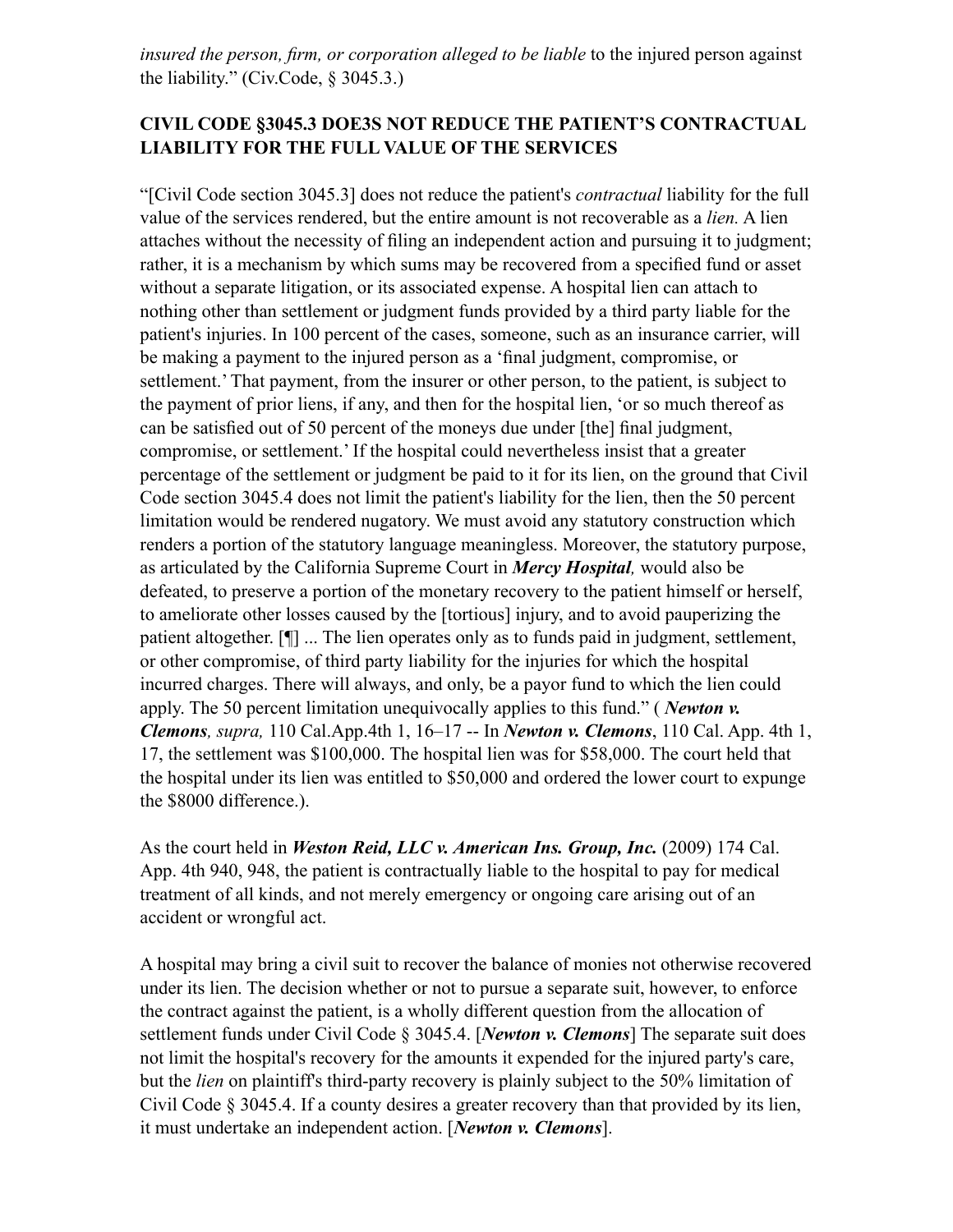*insured the person, firm, or corporation alleged to be liable* to the injured person against the liability." (Civ.Code, § 3045.3.)

# **CIVIL CODE §3045.3 DOE3S NOT REDUCE THE PATIENT'S CONTRACTUAL LIABILITY FOR THE FULL VALUE OF THE SERVICES**

"[Civil Code section 3045.3] does not reduce the patient's *contractual* liability for the full value of the services rendered, but the entire amount is not recoverable as a *lien.* A lien attaches without the necessity of filing an independent action and pursuing it to judgment; rather, it is a mechanism by which sums may be recovered from a specified fund or asset without a separate litigation, or its associated expense. A hospital lien can attach to nothing other than settlement or judgment funds provided by a third party liable for the patient's injuries. In 100 percent of the cases, someone, such as an insurance carrier, will be making a payment to the injured person as a 'final judgment, compromise, or settlement.' That payment, from the insurer or other person, to the patient, is subject to the payment of prior liens, if any, and then for the hospital lien, 'or so much thereof as can be satisfied out of 50 percent of the moneys due under [the] final judgment, compromise, or settlement.' If the hospital could nevertheless insist that a greater percentage of the settlement or judgment be paid to it for its lien, on the ground that Civil Code section 3045.4 does not limit the patient's liability for the lien, then the 50 percent limitation would be rendered nugatory. We must avoid any statutory construction which renders a portion of the statutory language meaningless. Moreover, the statutory purpose, as articulated by the California Supreme Court in *Mercy Hospital,* would also be defeated, to preserve a portion of the monetary recovery to the patient himself or herself, to ameliorate other losses caused by the [tortious] injury, and to avoid pauperizing the patient altogether. [¶] ... The lien operates only as to funds paid in judgment, settlement, or other compromise, of third party liability for the injuries for which the hospital incurred charges. There will always, and only, be a payor fund to which the lien could apply. The 50 percent limitation unequivocally applies to this fund." ( *Newton v. Clemons, supra,* 110 Cal.App.4th 1, 16–17 -- In *Newton v. Clemons*, 110 Cal. App. 4th 1, 17, the settlement was \$100,000. The hospital lien was for \$58,000. The court held that the hospital under its lien was entitled to \$50,000 and ordered the lower court to expunge the \$8000 difference.).

As the court held in *Weston Reid, LLC v. American Ins. Group, Inc.* (2009) 174 Cal. App. 4th 940, 948, the patient is contractually liable to the hospital to pay for medical treatment of all kinds, and not merely emergency or ongoing care arising out of an accident or wrongful act.

A hospital may bring a civil suit to recover the balance of monies not otherwise recovered under its lien. The decision whether or not to pursue a separate suit, however, to enforce the contract against the patient, is a wholly different question from the allocation of settlement funds under Civil Code § 3045.4. [*Newton v. Clemons*] The separate suit does not limit the hospital's recovery for the amounts it expended for the injured party's care, but the *lien* on plaintiff's third-party recovery is plainly subject to the 50% limitation of Civil Code § 3045.4. If a county desires a greater recovery than that provided by its lien, it must undertake an independent action. [*Newton v. Clemons*].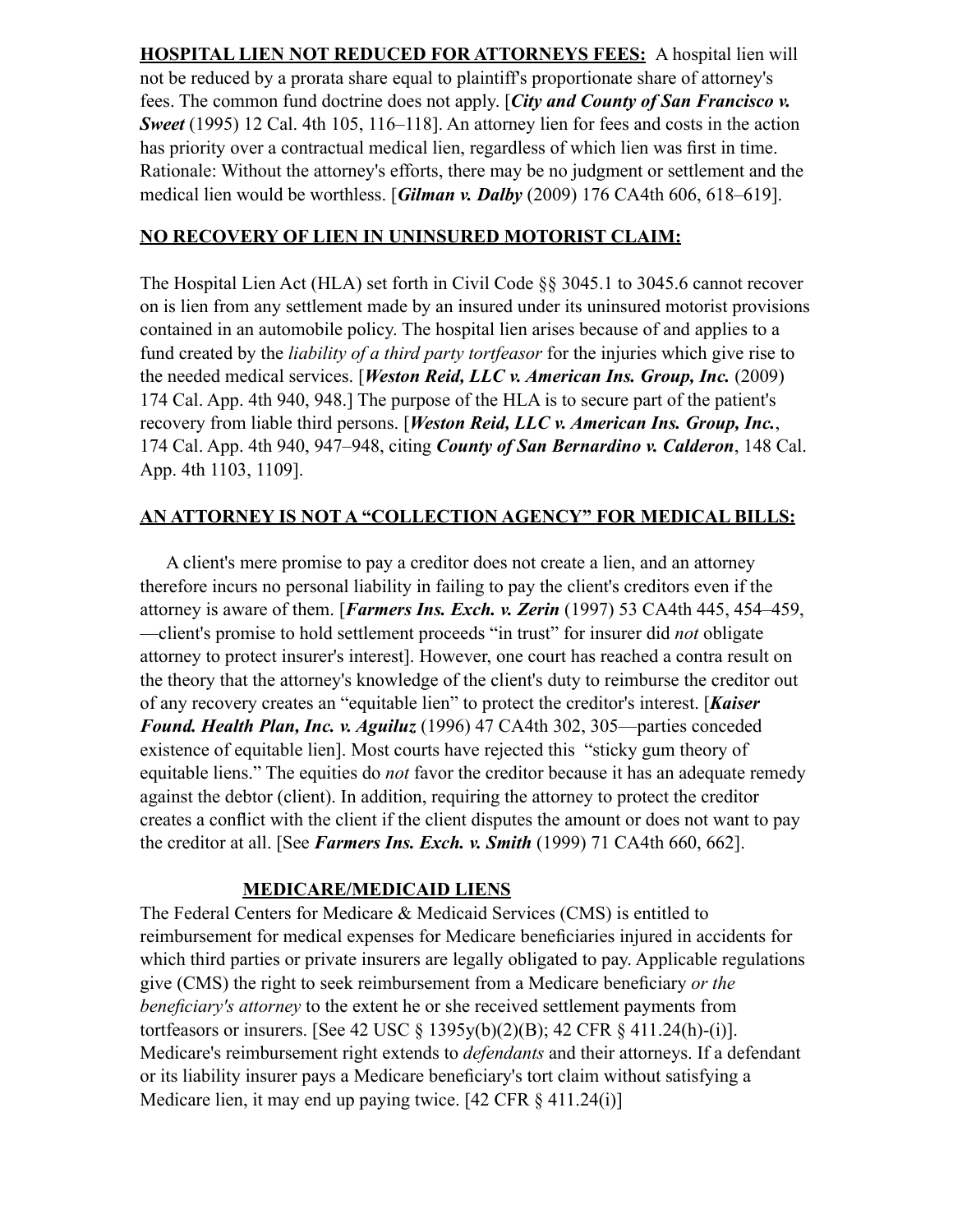**HOSPITAL LIEN NOT REDUCED FOR ATTORNEYS FEES:** A hospital lien will not be reduced by a prorata share equal to plaintiff's proportionate share of attorney's fees. The common fund doctrine does not apply. [*City and County of San Francisco v. Sweet* (1995) 12 Cal. 4th 105, 116–118]. An attorney lien for fees and costs in the action has priority over a contractual medical lien, regardless of which lien was first in time. Rationale: Without the attorney's efforts, there may be no judgment or settlement and the medical lien would be worthless. [*Gilman v. Dalby* (2009) 176 CA4th 606, 618–619].

### **NO RECOVERY OF LIEN IN UNINSURED MOTORIST CLAIM:**

The Hospital Lien Act (HLA) set forth in Civil Code §§ 3045.1 to 3045.6 cannot recover on is lien from any settlement made by an insured under its uninsured motorist provisions contained in an automobile policy. The hospital lien arises because of and applies to a fund created by the *liability of a third party tortfeasor* for the injuries which give rise to the needed medical services. [*Weston Reid, LLC v. American Ins. Group, Inc.* (2009) 174 Cal. App. 4th 940, 948.] The purpose of the HLA is to secure part of the patient's recovery from liable third persons. [*Weston Reid, LLC v. American Ins. Group, Inc.*, 174 Cal. App. 4th 940, 947–948, citing *County of San Bernardino v. Calderon*, 148 Cal. App. 4th 1103, 1109].

## **AN ATTORNEY IS NOT A "COLLECTION AGENCY" FOR MEDICAL BILLS:**

A client's mere promise to pay a creditor does not create a lien, and an attorney therefore incurs no personal liability in failing to pay the client's creditors even if the attorney is aware of them. [*Farmers Ins. Exch. v. Zerin* (1997) 53 CA4th 445, 454–459, —client's promise to hold settlement proceeds "in trust" for insurer did *not* obligate attorney to protect insurer's interest]. However, one court has reached a contra result on the theory that the attorney's knowledge of the client's duty to reimburse the creditor out of any recovery creates an "equitable lien" to protect the creditor's interest. [*Kaiser Found. Health Plan, Inc. v. Aguiluz* (1996) 47 CA4th 302, 305—parties conceded existence of equitable lien]. Most courts have rejected this "sticky gum theory of equitable liens." The equities do *not* favor the creditor because it has an adequate remedy against the debtor (client). In addition, requiring the attorney to protect the creditor creates a conflict with the client if the client disputes the amount or does not want to pay the creditor at all. [See *Farmers Ins. Exch. v. Smith* (1999) 71 CA4th 660, 662].

#### **MEDICARE/MEDICAID LIENS**

The Federal Centers for Medicare & Medicaid Services (CMS) is entitled to reimbursement for medical expenses for Medicare beneficiaries injured in accidents for which third parties or private insurers are legally obligated to pay. Applicable regulations give (CMS) the right to seek reimbursement from a Medicare beneficiary *or the beneficiary's attorney* to the extent he or she received settlement payments from tortfeasors or insurers. [See 42 USC § 1395y(b)(2)(B); 42 CFR § 411.24(h)-(i)]. Medicare's reimbursement right extends to *defendants* and their attorneys. If a defendant or its liability insurer pays a Medicare beneficiary's tort claim without satisfying a Medicare lien, it may end up paying twice. [42 CFR  $\S$  411.24(i)]